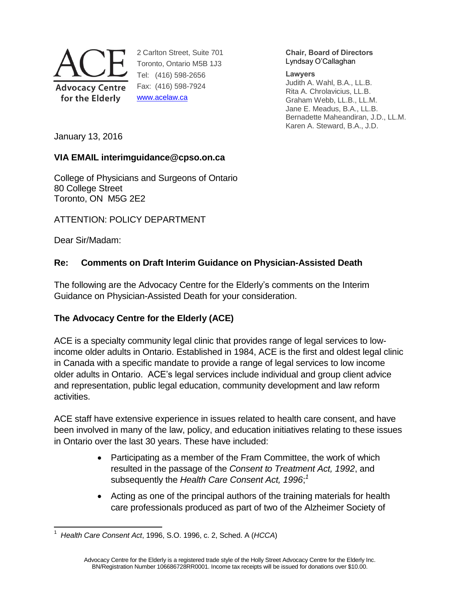

2 Carlton Street, Suite 701 Toronto, Ontario M5B 1J3 Tel: (416) 598-2656 Fax: (416) 598-7924 [www.acelaw.ca](http://www.acelaw.ca/)

#### **Chair, Board of Directors** Lyndsay O'Callaghan

#### **Lawyers**

Judith A. Wahl, B.A., LL.B. Rita A. Chrolavicius, LL.B. Graham Webb, LL.B., LL.M. Jane E. Meadus, B.A., LL.B. Bernadette Maheandiran, J.D., LL.M. Karen A. Steward, B.A., J.D.

January 13, 2016

## **VIA EMAIL interimguidance@cpso.on.ca**

College of Physicians and Surgeons of Ontario 80 College Street Toronto, ON M5G 2E2

ATTENTION: POLICY DEPARTMENT

Dear Sir/Madam:

## **Re: Comments on Draft Interim Guidance on Physician-Assisted Death**

The following are the Advocacy Centre for the Elderly's comments on the Interim Guidance on Physician-Assisted Death for your consideration.

# **The Advocacy Centre for the Elderly (ACE)**

ACE is a specialty community legal clinic that provides range of legal services to lowincome older adults in Ontario. Established in 1984, ACE is the first and oldest legal clinic in Canada with a specific mandate to provide a range of legal services to low income older adults in Ontario. ACE's legal services include individual and group client advice and representation, public legal education, community development and law reform activities.

ACE staff have extensive experience in issues related to health care consent, and have been involved in many of the law, policy, and education initiatives relating to these issues in Ontario over the last 30 years. These have included:

- Participating as a member of the Fram Committee, the work of which resulted in the passage of the *Consent to Treatment Act, 1992*, and subsequently the *Health Care Consent Act, 1996*; *1*
- <span id="page-0-0"></span> Acting as one of the principal authors of the training materials for health care professionals produced as part of two of the Alzheimer Society of

 $\overline{a}$ 1 *Health Care Consent Act*, 1996, S.O. 1996, c. 2, Sched. A (*HCCA*)

Advocacy Centre for the Elderly is a registered trade style of the Holly Street Advocacy Centre for the Elderly Inc. BN/Registration Number 106686728RR0001. Income tax receipts will be issued for donations over \$10.00.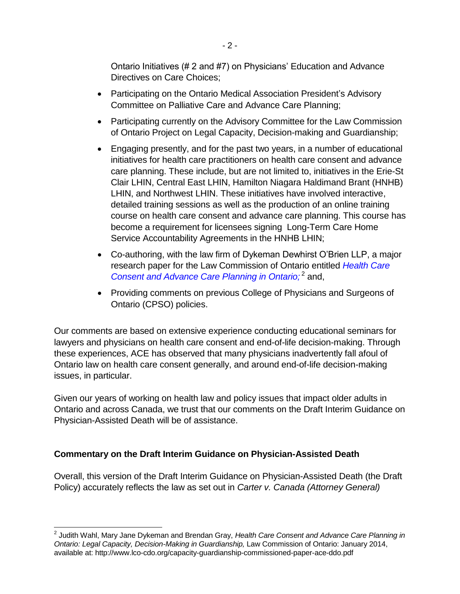Ontario Initiatives (# 2 and #7) on Physicians' Education and Advance Directives on Care Choices;

- Participating on the Ontario Medical Association President's Advisory Committee on Palliative Care and Advance Care Planning;
- Participating currently on the Advisory Committee for the Law Commission of Ontario Project on Legal Capacity, Decision-making and Guardianship;
- Engaging presently, and for the past two years, in a number of educational initiatives for health care practitioners on health care consent and advance care planning. These include, but are not limited to, initiatives in the Erie-St Clair LHIN, Central East LHIN, Hamilton Niagara Haldimand Brant (HNHB) LHIN, and Northwest LHIN. These initiatives have involved interactive, detailed training sessions as well as the production of an online training course on health care consent and advance care planning. This course has become a requirement for licensees signing Long-Term Care Home Service Accountability Agreements in the HNHB LHIN;
- Co-authoring, with the law firm of Dykeman Dewhirst O'Brien LLP, a major research paper for the Law Commission of Ontario entitled *[Health Care](http://www.acelaw.ca/advance_care_planning_-_publications.php)*  [Consent and Advance Care Planning in](http://www.acelaw.ca/advance_care_planning_-_publications.php) Ontario;<sup>2</sup> and,
- Providing comments on previous College of Physicians and Surgeons of Ontario (CPSO) policies.

Our comments are based on extensive experience conducting educational seminars for lawyers and physicians on health care consent and end-of-life decision-making. Through these experiences, ACE has observed that many physicians inadvertently fall afoul of Ontario law on health care consent generally, and around end-of-life decision-making issues, in particular.

Given our years of working on health law and policy issues that impact older adults in Ontario and across Canada, we trust that our comments on the Draft Interim Guidance on Physician-Assisted Death will be of assistance.

## **Commentary on the Draft Interim Guidance on Physician-Assisted Death**

 $\overline{a}$ 

Overall, this version of the Draft Interim Guidance on Physician-Assisted Death (the Draft Policy) accurately reflects the law as set out in *Carter v. Canada (Attorney General)*

<sup>2</sup> Judith Wahl, Mary Jane Dykeman and Brendan Gray, *Health Care Consent and Advance Care Planning in Ontario: Legal Capacity, Decision-Making in Guardianship,* Law Commission of Ontario: January 2014, available at: http://www.lco-cdo.org/capacity-guardianship-commissioned-paper-ace-ddo.pdf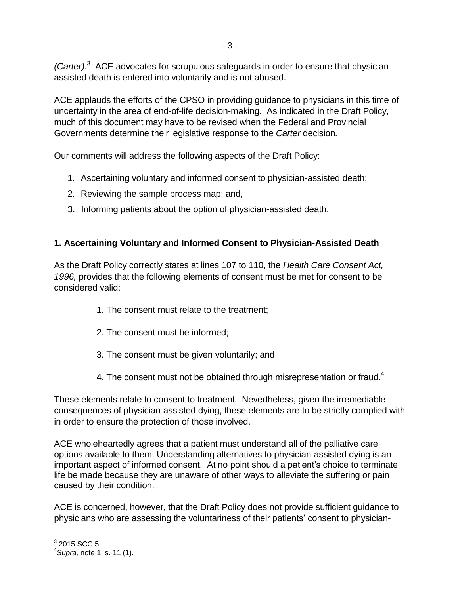*(Carter).* <sup>3</sup> ACE advocates for scrupulous safeguards in order to ensure that physicianassisted death is entered into voluntarily and is not abused.

ACE applauds the efforts of the CPSO in providing guidance to physicians in this time of uncertainty in the area of end-of-life decision-making. As indicated in the Draft Policy, much of this document may have to be revised when the Federal and Provincial Governments determine their legislative response to the *Carter* decision*.*

Our comments will address the following aspects of the Draft Policy:

- 1. Ascertaining voluntary and informed consent to physician-assisted death;
- 2. Reviewing the sample process map; and,
- 3. Informing patients about the option of physician-assisted death.

## **1. Ascertaining Voluntary and Informed Consent to Physician-Assisted Death**

As the Draft Policy correctly states at lines 107 to 110, the *Health Care Consent Act, 1996,* provides that the following elements of consent must be met for consent to be considered valid:

- 1. The consent must relate to the treatment;
- 2. The consent must be informed;
- 3. The consent must be given voluntarily; and
- 4. The consent must not be obtained through misrepresentation or fraud. $4$

These elements relate to consent to treatment. Nevertheless, given the irremediable consequences of physician-assisted dying, these elements are to be strictly complied with in order to ensure the protection of those involved.

ACE wholeheartedly agrees that a patient must understand all of the palliative care options available to them. Understanding alternatives to physician-assisted dying is an important aspect of informed consent. At no point should a patient's choice to terminate life be made because they are unaware of other ways to alleviate the suffering or pain caused by their condition.

ACE is concerned, however, that the Draft Policy does not provide sufficient guidance to physicians who are assessing the voluntariness of their patients' consent to physician-

 $\frac{3}{2}$  2015 SCC 5

<sup>4</sup> *Supra,* note [1,](#page-0-0) s. 11 (1).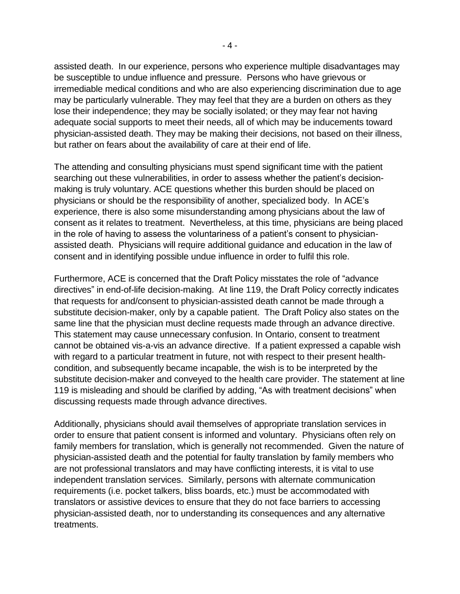assisted death. In our experience, persons who experience multiple disadvantages may be susceptible to undue influence and pressure. Persons who have grievous or irremediable medical conditions and who are also experiencing discrimination due to age may be particularly vulnerable. They may feel that they are a burden on others as they lose their independence; they may be socially isolated; or they may fear not having adequate social supports to meet their needs, all of which may be inducements toward physician-assisted death. They may be making their decisions, not based on their illness, but rather on fears about the availability of care at their end of life.

The attending and consulting physicians must spend significant time with the patient searching out these vulnerabilities, in order to assess whether the patient's decisionmaking is truly voluntary. ACE questions whether this burden should be placed on physicians or should be the responsibility of another, specialized body. In ACE's experience, there is also some misunderstanding among physicians about the law of consent as it relates to treatment. Nevertheless, at this time, physicians are being placed in the role of having to assess the voluntariness of a patient's consent to physicianassisted death. Physicians will require additional guidance and education in the law of consent and in identifying possible undue influence in order to fulfil this role.

Furthermore, ACE is concerned that the Draft Policy misstates the role of "advance directives" in end-of-life decision-making. At line 119, the Draft Policy correctly indicates that requests for and/consent to physician-assisted death cannot be made through a substitute decision-maker, only by a capable patient. The Draft Policy also states on the same line that the physician must decline requests made through an advance directive. This statement may cause unnecessary confusion. In Ontario, consent to treatment cannot be obtained vis-a-vis an advance directive. If a patient expressed a capable wish with regard to a particular treatment in future, not with respect to their present healthcondition, and subsequently became incapable, the wish is to be interpreted by the substitute decision-maker and conveyed to the health care provider. The statement at line 119 is misleading and should be clarified by adding, "As with treatment decisions" when discussing requests made through advance directives.

Additionally, physicians should avail themselves of appropriate translation services in order to ensure that patient consent is informed and voluntary. Physicians often rely on family members for translation, which is generally not recommended. Given the nature of physician-assisted death and the potential for faulty translation by family members who are not professional translators and may have conflicting interests, it is vital to use independent translation services. Similarly, persons with alternate communication requirements (i.e. pocket talkers, bliss boards, etc.) must be accommodated with translators or assistive devices to ensure that they do not face barriers to accessing physician-assisted death, nor to understanding its consequences and any alternative treatments.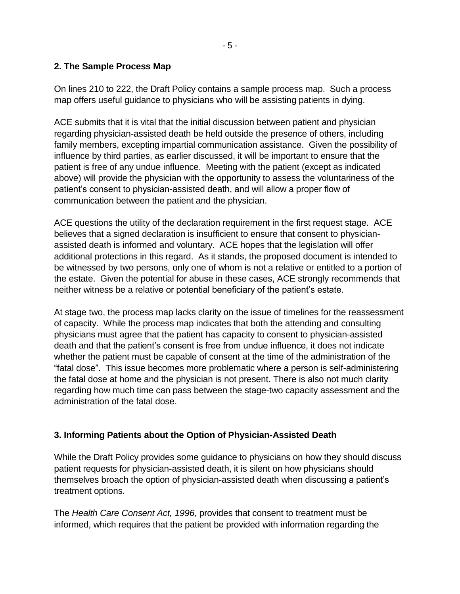#### **2. The Sample Process Map**

On lines 210 to 222, the Draft Policy contains a sample process map. Such a process map offers useful guidance to physicians who will be assisting patients in dying.

ACE submits that it is vital that the initial discussion between patient and physician regarding physician-assisted death be held outside the presence of others, including family members, excepting impartial communication assistance. Given the possibility of influence by third parties, as earlier discussed, it will be important to ensure that the patient is free of any undue influence. Meeting with the patient (except as indicated above) will provide the physician with the opportunity to assess the voluntariness of the patient's consent to physician-assisted death, and will allow a proper flow of communication between the patient and the physician.

ACE questions the utility of the declaration requirement in the first request stage. ACE believes that a signed declaration is insufficient to ensure that consent to physicianassisted death is informed and voluntary. ACE hopes that the legislation will offer additional protections in this regard. As it stands, the proposed document is intended to be witnessed by two persons, only one of whom is not a relative or entitled to a portion of the estate. Given the potential for abuse in these cases, ACE strongly recommends that neither witness be a relative or potential beneficiary of the patient's estate.

At stage two, the process map lacks clarity on the issue of timelines for the reassessment of capacity. While the process map indicates that both the attending and consulting physicians must agree that the patient has capacity to consent to physician-assisted death and that the patient's consent is free from undue influence, it does not indicate whether the patient must be capable of consent at the time of the administration of the "fatal dose". This issue becomes more problematic where a person is self-administering the fatal dose at home and the physician is not present. There is also not much clarity regarding how much time can pass between the stage-two capacity assessment and the administration of the fatal dose.

## **3. Informing Patients about the Option of Physician-Assisted Death**

While the Draft Policy provides some guidance to physicians on how they should discuss patient requests for physician-assisted death, it is silent on how physicians should themselves broach the option of physician-assisted death when discussing a patient's treatment options.

The *Health Care Consent Act, 1996,* provides that consent to treatment must be informed, which requires that the patient be provided with information regarding the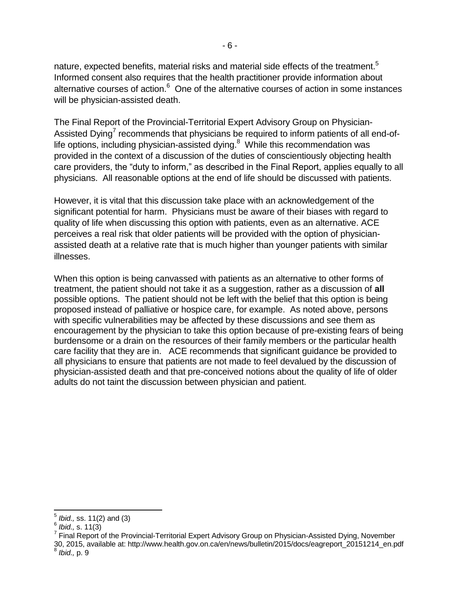nature, expected benefits, material risks and material side effects of the treatment.<sup>5</sup> Informed consent also requires that the health practitioner provide information about alternative courses of action.<sup>6</sup> One of the alternative courses of action in some instances will be physician-assisted death.

The Final Report of the Provincial-Territorial Expert Advisory Group on Physician-Assisted Dying<sup>7</sup> recommends that physicians be required to inform patients of all end-oflife options, including physician-assisted dying. $8$  While this recommendation was provided in the context of a discussion of the duties of conscientiously objecting health care providers, the "duty to inform," as described in the Final Report, applies equally to all physicians. All reasonable options at the end of life should be discussed with patients.

However, it is vital that this discussion take place with an acknowledgement of the significant potential for harm. Physicians must be aware of their biases with regard to quality of life when discussing this option with patients, even as an alternative. ACE perceives a real risk that older patients will be provided with the option of physicianassisted death at a relative rate that is much higher than younger patients with similar illnesses.

When this option is being canvassed with patients as an alternative to other forms of treatment, the patient should not take it as a suggestion, rather as a discussion of **all** possible options. The patient should not be left with the belief that this option is being proposed instead of palliative or hospice care, for example. As noted above, persons with specific vulnerabilities may be affected by these discussions and see them as encouragement by the physician to take this option because of pre-existing fears of being burdensome or a drain on the resources of their family members or the particular health care facility that they are in. ACE recommends that significant guidance be provided to all physicians to ensure that patients are not made to feel devalued by the discussion of physician-assisted death and that pre-conceived notions about the quality of life of older adults do not taint the discussion between physician and patient.

l

<sup>5</sup> *Ibid.,* ss. 11(2) and (3)

<sup>6</sup> *Ibid.,* s. 11(3)

<sup>&</sup>lt;sup>7</sup> Final Report of the Provincial-Territorial Expert Advisory Group on Physician-Assisted Dying, November 30, 2015, available at: http://www.health.gov.on.ca/en/news/bulletin/2015/docs/eagreport\_20151214\_en.pdf 8 *Ibid.,* p. 9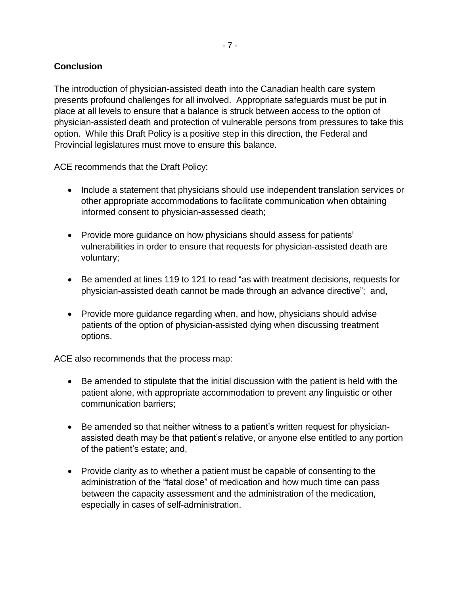#### **Conclusion**

The introduction of physician-assisted death into the Canadian health care system presents profound challenges for all involved. Appropriate safeguards must be put in place at all levels to ensure that a balance is struck between access to the option of physician-assisted death and protection of vulnerable persons from pressures to take this option. While this Draft Policy is a positive step in this direction, the Federal and Provincial legislatures must move to ensure this balance.

ACE recommends that the Draft Policy:

- Include a statement that physicians should use independent translation services or other appropriate accommodations to facilitate communication when obtaining informed consent to physician-assessed death;
- Provide more guidance on how physicians should assess for patients' vulnerabilities in order to ensure that requests for physician-assisted death are voluntary;
- Be amended at lines 119 to 121 to read "as with treatment decisions, requests for physician-assisted death cannot be made through an advance directive"; and,
- Provide more guidance regarding when, and how, physicians should advise patients of the option of physician-assisted dying when discussing treatment options.

ACE also recommends that the process map:

- Be amended to stipulate that the initial discussion with the patient is held with the patient alone, with appropriate accommodation to prevent any linguistic or other communication barriers;
- Be amended so that neither witness to a patient's written request for physicianassisted death may be that patient's relative, or anyone else entitled to any portion of the patient's estate; and,
- Provide clarity as to whether a patient must be capable of consenting to the administration of the "fatal dose" of medication and how much time can pass between the capacity assessment and the administration of the medication, especially in cases of self-administration.